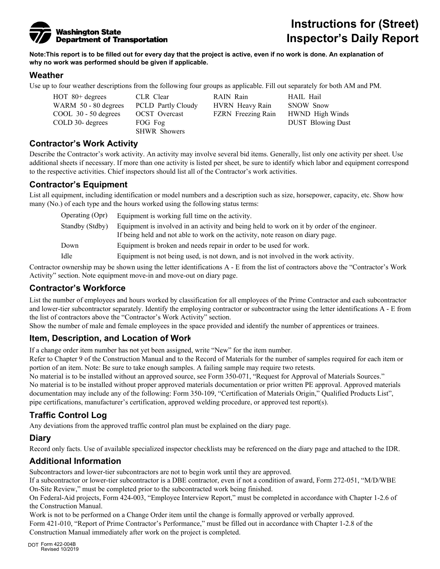

# **Instructions for (Street) Inspector's Daily Report**

**Note:This report is to be filled out for every day that the project is active, even if no work is done. An explanation of why no work was performed should be given if applicable.** 

#### **Weather**

Use up to four weather descriptions from the following four groups as applicable. Fill out separately for both AM and PM.

WARM 50 - 80 degrees PCLD Partly Cloudy HVRN Heavy Rain SNOW Snow COOL 30 - 50 degrees OCST Overcast FZRN Freezing Rain HWND High Winds COLD 30- degrees FOG Fog **DUST Blowing Dust** 

SHWR Showers

HOT 80+ degrees CLR Clear RAIN Rain HAIL Hail

#### **Contractor's Work Activity**

Describe the Contractor's work activity. An activity may involve several bid items. Generally, list only one activity per sheet. Use additional sheets if necessary. If more than one activity is listed per sheet, be sure to identify which labor and equipment correspond to the respective activities. Chief inspectors should list all of the Contractor's work activities.

## **Contractor's Equipment**

List all equipment, including identification or model numbers and a description such as size, horsepower, capacity, etc. Show how many (No.) of each type and the hours worked using the following status terms:

| Operating (Opr) | Equipment is working full time on the activity.                                                                                                                               |
|-----------------|-------------------------------------------------------------------------------------------------------------------------------------------------------------------------------|
| Standby (Stdby) | Equipment is involved in an activity and being held to work on it by order of the engineer.<br>If being held and not able to work on the activity, note reason on diary page. |
| Down            | Equipment is broken and needs repair in order to be used for work.                                                                                                            |
| Idle            | Equipment is not being used, is not down, and is not involved in the work activity.                                                                                           |

Contractor ownership may be shown using the letter identifications A - E from the list of contractors above the "Contractor's Work Activity" section. Note equipment move-in and move-out on diary page.

## **Contractor's Workforce**

List the number of employees and hours worked by classification for all employees of the Prime Contractor and each subcontractor and lower-tier subcontractor separately. Identify the employing contractor or subcontractor using the letter identifications A - E from the list of contractors above the "Contractor's Work Activity" section.

Show the number of male and female employees in the space provided and identify the number of apprentices or trainees.

## **Item, Description, and Location of Work**

If a change order item number has not yet been assigned, write "New" for the item number.

Refer to Chapter 9 of the Construction Manual and to the Record of Materials for the number of samples required for each item or portion of an item. Note: Be sure to take enough samples. A failing sample may require two retests.

No material is to be installed without an approved source, see Form 350-071, "Request for Approval of Materials Sources." No material is to be installed without proper approved materials documentation or prior written PE approval. Approved materials documentation may include any of the following: Form 350-109, "Certification of Materials Origin," Qualified Products List", pipe certifications, manufacturer's certification, approved welding procedure, or approved test report(s).

## **Traffic Control Log**

Any deviations from the approved traffic control plan must be explained on the diary page.

#### **Diary**

Record only facts. Use of available specialized inspector checklists may be referenced on the diary page and attached to the IDR.

#### **Additional Information**

Subcontractors and lower-tier subcontractors are not to begin work until they are approved.

If a subcontractor or lower-tier subcontractor is a DBE contractor, even if not a condition of award, Form 272-051, "M/D/WBE On-Site Review," must be completed prior to the subcontracted work being finished.

On Federal-Aid projects, Form 424-003, "Employee Interview Report," must be completed in accordance with Chapter 1-2.6 of the Construction Manual.

Work is not to be performed on a Change Order item until the change is formally approved or verbally approved. Form 421-010, "Report of Prime Contractor's Performance," must be filled out in accordance with Chapter 1-2.8 of the Construction Manual immediately after work on the project is completed.

DOT Form 422-004B Revised 10/2019